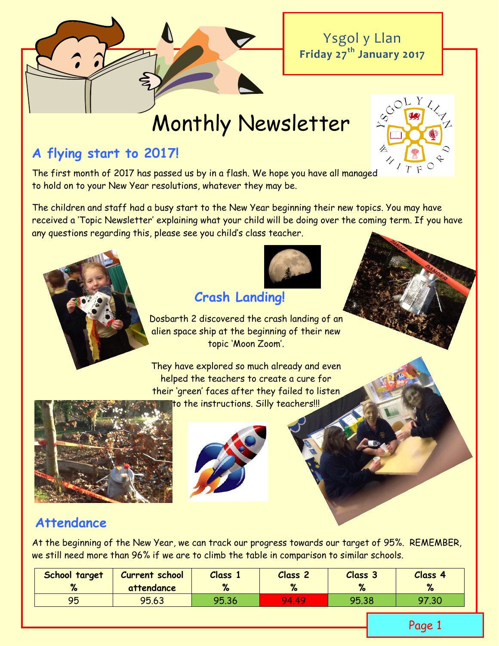Ysgol y Llan **Friday 27th January 2017**

# Monthly Newsletter

### **A flying start to 2017!**

The first month of 2017 has passed us by in a flash. We hope you have all managed to hold on to your New Year resolutions, whatever they may be.

The children and staff had a busy start to the New Year beginning their new topics. You may have received a 'Topic Newsletter' explaining what your child will be doing over the coming term. If you have any questions regarding this, please see you child's class teacher.





# **Crash Landing!**

Dosbarth 2 discovered the crash landing of an alien space ship at the beginning of their new topic 'Moon Zoom'.

They have explored so much already and even helped the teachers to create a cure for their 'green' faces after they failed to listen to the instructions. Silly teachers!!!





### **Attendance**

At the beginning of the New Year, we can track our progress towards our target of 95%. REMEMBER, we still need more than 96% if we are to climb the table in comparison to similar schools.

| School target | <b>Current school</b> | <b>Class</b> | Class <sub>2</sub> | Class <sub>3</sub> | Class 4      |
|---------------|-----------------------|--------------|--------------------|--------------------|--------------|
| $\mathbf{v}$  | attendance            |              | $\mathbf{a}$       | $\alpha$           | $\mathbf{a}$ |
| 95            | 95.63                 | 95.36        | 94.49              | 95.38              | 97.30        |

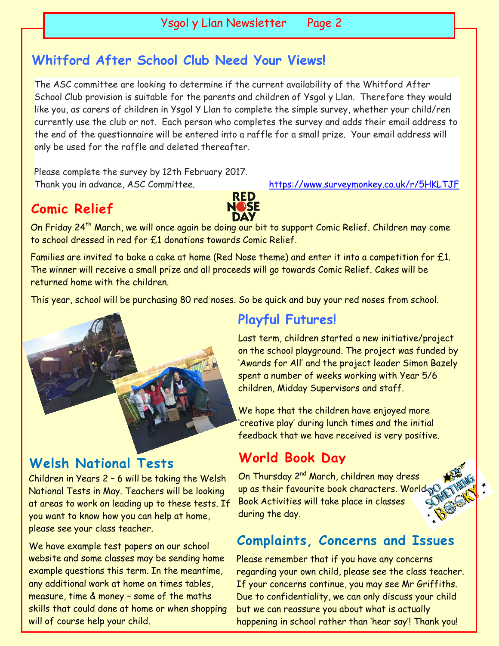# **Whitford After School Club Need Your Views!**

The ASC committee are looking to determine if the current availability of the Whitford After School Club provision is suitable for the parents and children of Ysgol y Llan. Therefore they would like you, as carers of children in Ysgol Y Llan to complete the simple survey, whether your child/ren currently use the club or not. Each person who completes the survey and adds their email address to the end of the questionnaire will be entered into a raffle for a small prize. Your email address will only be used for the raffle and deleted thereafter.

Please complete the survey by 12th February 2017. Thank you in advance, ASC Committee. <https://www.surveymonkey.co.uk/r/5HKLTJF>

## **Comic Relief**



On Friday 24<sup>th</sup> March, we will once again be doing our bit to support Comic Relief. Children may come to school dressed in red for £1 donations towards Comic Relief.

Families are invited to bake a cake at home (Red Nose theme) and enter it into a competition for £1. The winner will receive a small prize and all proceeds will go towards Comic Relief. Cakes will be returned home with the children.

This year, school will be purchasing 80 red noses. So be quick and buy your red noses from school.



### **Welsh National Tests**

Children in Years 2 – 6 will be taking the Welsh National Tests in May. Teachers will be looking at areas to work on leading up to these tests. If you want to know how you can help at home, please see your class teacher.

We have example test papers on our school website and some classes may be sending home example questions this term. In the meantime, any additional work at home on times tables, measure, time & money – some of the maths skills that could done at home or when shopping will of course help your child.

### **Playful Futures!**

Last term, children started a new initiative/project on the school playground. The project was funded by 'Awards for All' and the project leader Simon Bazely spent a number of weeks working with Year 5/6 children, Midday Supervisors and staff.

We hope that the children have enjoyed more 'creative play' during lunch times and the initial feedback that we have received is very positive.

### **World Book Day**

On Thursday 2<sup>nd</sup> March, children may dress up as their favourite book characters. World Book Activities will take place in classes during the day.

### **Complaints, Concerns and Issues**

Please remember that if you have any concerns regarding your own child, please see the class teacher. If your concerns continue, you may see Mr Griffiths. Due to confidentiality, we can only discuss your child but we can reassure you about what is actually happening in school rather than 'hear say'! Thank you!